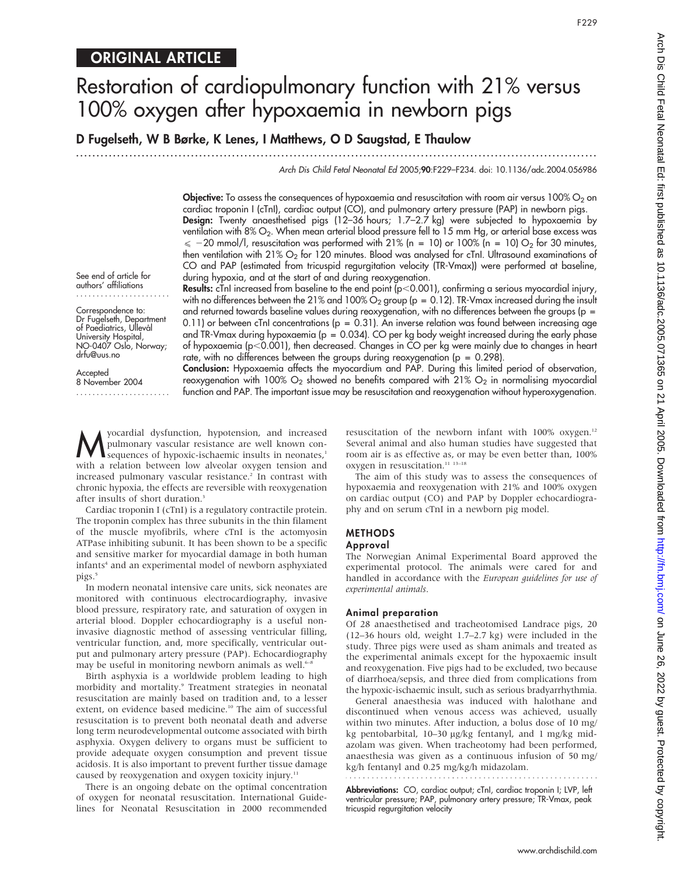## ORIGINAL ARTICLE

# Restoration of cardiopulmonary function with 21% versus 100% oxygen after hypoxaemia in newborn pigs

D Fugelseth, W B Børke, K Lenes, I Matthews, O D Saugstad, E Thaulow

...............................................................................................................................

Arch Dis Child Fetal Neonatal Ed 2005;90:F229–F234. doi: 10.1136/adc.2004.056986

**Objective:** To assess the consequences of hypoxaemia and resuscitation with room air versus 100%  $O_2$  on cardiac troponin I (cTnI), cardiac output (CO), and pulmonary artery pressure (PAP) in newborn pigs. Design: Twenty anaesthetised pigs (12–36 hours; 1.7–2.7 kg) were subjected to hypoxaemia by ventilation with 8% O<sub>2</sub>. When mean arterial blood pressure fell to 15 mm Hg, or arterial base excess was  $\le$  -20 mmol/l, resuscitation was performed with 21% (n = 10) or 100% (n = 10) O<sub>2</sub> for 30 minutes, then ventilation with 21% O<sub>2</sub> for 120 minutes. Blood was analysed for cTnI. Ultrasound examinations of CO and PAP (estimated from tricuspid regurgitation velocity (TR-Vmax)) were performed at baseline, during hypoxia, and at the start of and during reoxygenation.

See end of article for authors' affiliations .......................

Correspondence to: Dr Fugelseth, Department of Paediatrics, Ullevål University Hospital, NO-0407 Oslo, Norway; drfu@uus.no

with no differences between the 21% and 100%  $O_2$  group (p = 0.12). TR-Vmax increased during the insult and returned towards baseline values during reoxygenation, with no differences between the groups ( $p =$ 0.11) or between cTnI concentrations ( $p = 0.31$ ). An inverse relation was found between increasing age and TR-Vmax during hypoxaemia ( $p = 0.034$ ). CO per kg body weight increased during the early phase of hypoxaemia (p<0.001), then decreased. Changes in CO per kg were mainly due to changes in heart rate, with no differences between the groups during reoxygenation ( $p = 0.298$ ).

**Results:** cTnI increased from baseline to the end point ( $p<0.001$ ), confirming a serious myocardial injury,

**Accepted** 8 November 2004 ....................... Conclusion: Hypoxaemia affects the myocardium and PAP. During this limited period of observation, reoxygenation with 100%  $O_2$  showed no benefits compared with 21%  $O_2$  in normalising myocardial function and PAP. The important issue may be resuscitation and reoxygenation without hyperoxygenation.

M yocardial dysfunction, hypotension, and increased<br>pulmonary vascular resistance are well known con-<br>sequences of hypoxic-ischaemic insults in neonates,<sup>1</sup><br>with a relation hetween low alwealer exugan topics and pulmonary vascular resistance are well known consequences of hypoxic-ischaemic insults in neonates,<sup>1</sup> with a relation between low alveolar oxygen tension and increased pulmonary vascular resistance.<sup>2</sup> In contrast with chronic hypoxia, the effects are reversible with reoxygenation after insults of short duration.<sup>3</sup>

Cardiac troponin I (cTnI) is a regulatory contractile protein. The troponin complex has three subunits in the thin filament of the muscle myofibrils, where cTnI is the actomyosin ATPase inhibiting subunit. It has been shown to be a specific and sensitive marker for myocardial damage in both human infants<sup>4</sup> and an experimental model of newborn asphyxiated pigs.<sup>5</sup>

In modern neonatal intensive care units, sick neonates are monitored with continuous electrocardiography, invasive blood pressure, respiratory rate, and saturation of oxygen in arterial blood. Doppler echocardiography is a useful noninvasive diagnostic method of assessing ventricular filling, ventricular function, and, more specifically, ventricular output and pulmonary artery pressure (PAP). Echocardiography may be useful in monitoring newborn animals as well.<sup>6–1</sup>

Birth asphyxia is a worldwide problem leading to high morbidity and mortality.9 Treatment strategies in neonatal resuscitation are mainly based on tradition and, to a lesser extent, on evidence based medicine.<sup>10</sup> The aim of successful resuscitation is to prevent both neonatal death and adverse long term neurodevelopmental outcome associated with birth asphyxia. Oxygen delivery to organs must be sufficient to provide adequate oxygen consumption and prevent tissue acidosis. It is also important to prevent further tissue damage caused by reoxygenation and oxygen toxicity injury.<sup>11</sup>

There is an ongoing debate on the optimal concentration of oxygen for neonatal resuscitation. International Guidelines for Neonatal Resuscitation in 2000 recommended

resuscitation of the newborn infant with 100% oxygen.<sup>12</sup> Several animal and also human studies have suggested that room air is as effective as, or may be even better than, 100% oxygen in resuscitation. $^{\rm 11}$   $^{\rm 13-18}$ 

The aim of this study was to assess the consequences of hypoxaemia and reoxygenation with 21% and 100% oxygen on cardiac output (CO) and PAP by Doppler echocardiography and on serum cTnI in a newborn pig model.

#### METHODS

#### Approval

The Norwegian Animal Experimental Board approved the experimental protocol. The animals were cared for and handled in accordance with the European guidelines for use of experimental animals.

#### Animal preparation

tricuspid regurgitation velocity

Of 28 anaesthetised and tracheotomised Landrace pigs, 20 (12–36 hours old, weight 1.7–2.7 kg) were included in the study. Three pigs were used as sham animals and treated as the experimental animals except for the hypoxaemic insult and reoxygenation. Five pigs had to be excluded, two because of diarrhoea/sepsis, and three died from complications from the hypoxic-ischaemic insult, such as serious bradyarrhythmia.

General anaesthesia was induced with halothane and discontinued when venous access was achieved, usually within two minutes. After induction, a bolus dose of 10 mg/ kg pentobarbital, 10-30 µg/kg fentanyl, and 1 mg/kg midazolam was given. When tracheotomy had been performed, anaesthesia was given as a continuous infusion of 50 mg/ kg/h fentanyl and 0.25 mg/kg/h midazolam. 

Abbreviations: CO, cardiac output; cTnI, cardiac troponin I; LVP, left ventricular pressure; PAP, pulmonary artery pressure; TR-Vmax, peak

www.archdischild.com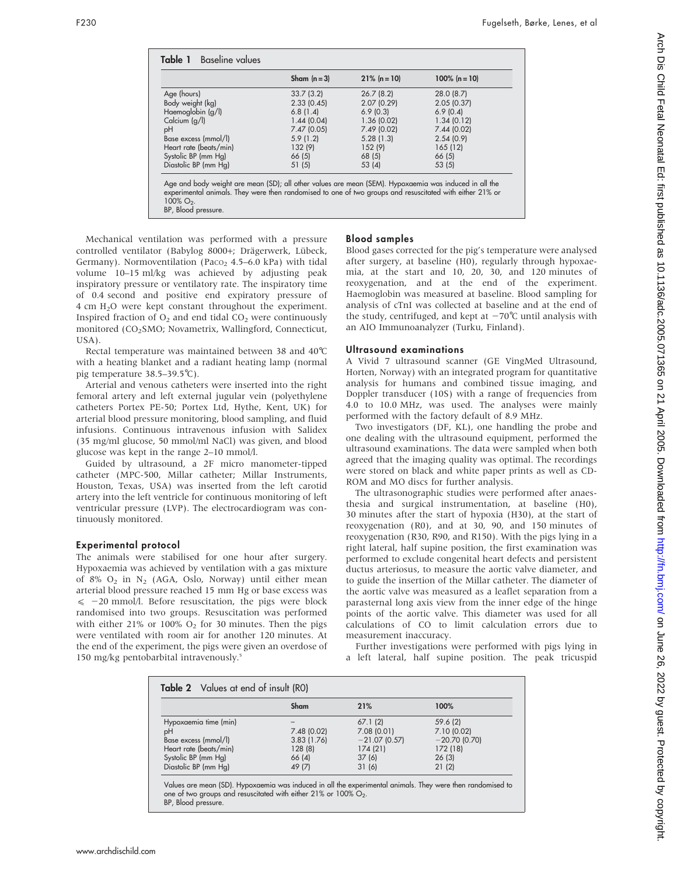|                        | Sham $(n=3)$ | $21\%$ (n = 10) | $100\%$ (n = 10) |
|------------------------|--------------|-----------------|------------------|
| Age (hours)            | 33.7(3.2)    | 26.7(8.2)       | 28.0 (8.7)       |
| Body weight (kg)       | 2.33(0.45)   | 2.07(0.29)      | 2.05(0.37)       |
| Haemoglobin (g/l)      | 6.8(1.4)     | 6.9(0.3)        | 6.9(0.4)         |
| Calcium (g/l)          | 1.44(0.04)   | 1.36(0.02)      | 1.34(0.12)       |
| pH                     | 7.47(0.05)   | 7.49 (0.02)     | 7.44(0.02)       |
| Base excess (mmol/l)   | 5.9(1.2)     | 5.28(1.3)       | 2.54(0.9)        |
| Heart rate (beats/min) | 132(9)       | 152(9)          | 165(12)          |
| Systolic BP (mm Hq)    | 66(5)        | 68 (5)          | 66 (5)           |
| Diastolic BP (mm Hg)   | 51(5)        | 53(4)           | 53(5)            |

100% O<sub>2</sub>.<br>BP, Blood pressure.

Mechanical ventilation was performed with a pressure controlled ventilator (Babylog 8000+; Drägerwerk, Lübeck, Germany). Normoventilation (Paco<sub>2</sub> 4.5–6.0 kPa) with tidal volume 10–15 ml/kg was achieved by adjusting peak inspiratory pressure or ventilatory rate. The inspiratory time of 0.4 second and positive end expiratory pressure of 4 cm H2O were kept constant throughout the experiment. Inspired fraction of  $O<sub>2</sub>$  and end tidal  $CO<sub>2</sub>$  were continuously monitored (CO<sub>2</sub>SMO; Novametrix, Wallingford, Connecticut, USA).

Rectal temperature was maintained between 38 and 40˚C with a heating blanket and a radiant heating lamp (normal pig temperature 38.5–39.5˚C).

Arterial and venous catheters were inserted into the right femoral artery and left external jugular vein (polyethylene catheters Portex PE-50; Portex Ltd, Hythe, Kent, UK) for arterial blood pressure monitoring, blood sampling, and fluid infusions. Continuous intravenous infusion with Salidex (35 mg/ml glucose, 50 mmol/ml NaCl) was given, and blood glucose was kept in the range 2–10 mmol/l.

Guided by ultrasound, a 2F micro manometer-tipped catheter (MPC-500, Millar catheter; Millar Instruments, Houston, Texas, USA) was inserted from the left carotid artery into the left ventricle for continuous monitoring of left ventricular pressure (LVP). The electrocardiogram was continuously monitored.

#### Experimental protocol

The animals were stabilised for one hour after surgery. Hypoxaemia was achieved by ventilation with a gas mixture of 8%  $O_2$  in N<sub>2</sub> (AGA, Oslo, Norway) until either mean arterial blood pressure reached 15 mm Hg or base excess was  $\le$  -20 mmol/l. Before resuscitation, the pigs were block randomised into two groups. Resuscitation was performed with either 21% or 100%  $O<sub>2</sub>$  for 30 minutes. Then the pigs were ventilated with room air for another 120 minutes. At the end of the experiment, the pigs were given an overdose of 150 mg/kg pentobarbital intravenously.5

#### Blood samples

Blood gases corrected for the pig's temperature were analysed after surgery, at baseline (H0), regularly through hypoxaemia, at the start and 10, 20, 30, and 120 minutes of reoxygenation, and at the end of the experiment. Haemoglobin was measured at baseline. Blood sampling for analysis of cTnI was collected at baseline and at the end of the study, centrifuged, and kept at  $-70^{\circ}$ C until analysis with an AIO Immunoanalyzer (Turku, Finland).

#### Ultrasound examinations

A Vivid 7 ultrasound scanner (GE VingMed Ultrasound, Horten, Norway) with an integrated program for quantitative analysis for humans and combined tissue imaging, and Doppler transducer (10S) with a range of frequencies from 4.0 to 10.0 MHz, was used. The analyses were mainly performed with the factory default of 8.9 MHz.

Two investigators (DF, KL), one handling the probe and one dealing with the ultrasound equipment, performed the ultrasound examinations. The data were sampled when both agreed that the imaging quality was optimal. The recordings were stored on black and white paper prints as well as CD-ROM and MO discs for further analysis.

The ultrasonographic studies were performed after anaesthesia and surgical instrumentation, at baseline (H0), 30 minutes after the start of hypoxia (H30), at the start of reoxygenation (R0), and at 30, 90, and 150 minutes of reoxygenation (R30, R90, and R150). With the pigs lying in a right lateral, half supine position, the first examination was performed to exclude congenital heart defects and persistent ductus arteriosus, to measure the aortic valve diameter, and to guide the insertion of the Millar catheter. The diameter of the aortic valve was measured as a leaflet separation from a parasternal long axis view from the inner edge of the hinge points of the aortic valve. This diameter was used for all calculations of CO to limit calculation errors due to measurement inaccuracy.

Further investigations were performed with pigs lying in a left lateral, half supine position. The peak tricuspid

| Table 2 Values at end of insult (RO)                                                                                         |                                                       |                                                                        |                                                                         |  |  |  |
|------------------------------------------------------------------------------------------------------------------------------|-------------------------------------------------------|------------------------------------------------------------------------|-------------------------------------------------------------------------|--|--|--|
|                                                                                                                              | Sham                                                  | 21%                                                                    | 100%                                                                    |  |  |  |
| Hypoxaemia time (min)<br>рH<br>Base excess (mmol/l)<br>Heart rate (beats/min)<br>Systolic BP (mm Hg)<br>Diastolic BP (mm Hg) | 7.48(0.02)<br>3.83(1.76)<br>128(8)<br>66(4)<br>49 (7) | 67.1(2)<br>7.08(0.01)<br>$-21.07$ (0.57)<br>174 (21)<br>37(6)<br>31(6) | 59.6(2)<br>7.10 (0.02)<br>$-20.70$ (0.70)<br>172 (18)<br>26(3)<br>21(2) |  |  |  |

Values are mean (SD). Hypoxaemia was induced in all the experimental animals. They were then randomised to one of two groups and resuscitated with either 21% or 100% O<sub>2</sub>. BP, Blood pressure.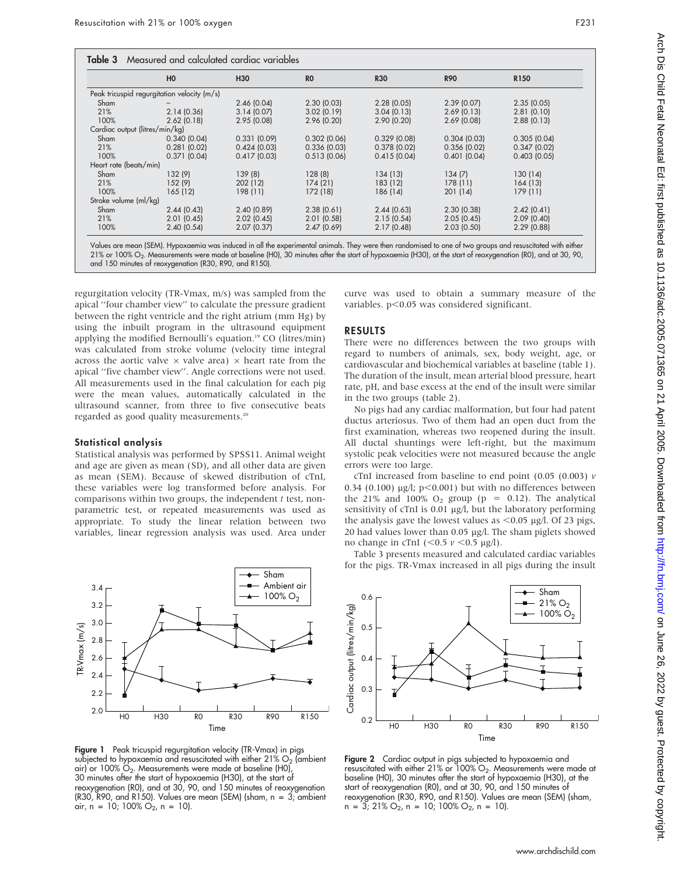|                                | H <sub>0</sub>                              | <b>H30</b>  | R <sub>0</sub> | <b>R30</b>  | <b>R90</b>  | R <sub>150</sub> |
|--------------------------------|---------------------------------------------|-------------|----------------|-------------|-------------|------------------|
|                                | Peak tricuspid regurgitation velocity (m/s) |             |                |             |             |                  |
| Sham                           |                                             | 2.46(0.04)  | 2.30(0.03)     | 2.28(0.05)  | 2.39(0.07)  | 2.35(0.05)       |
| 21%                            | 2.14(0.36)                                  | 3.14(0.07)  | 3.02(0.19)     | 3.04(0.13)  | 2.69(0.13)  | 2.81(0.10)       |
| 100%                           | 2.62(0.18)                                  | 2.95(0.08)  | 2.96(0.20)     | 2.90(0.20)  | 2.69(0.08)  | 2.88(0.13)       |
| Cardiac output (litres/min/kg) |                                             |             |                |             |             |                  |
| Sham                           | 0.340(0.04)                                 | 0.331(0.09) | 0.302(0.06)    | 0.329(0.08) | 0.304(0.03) | 0.305(0.04)      |
| 21%                            | 0.281(0.02)                                 | 0.424(0.03) | 0.336(0.03)    | 0.378(0.02) | 0.356(0.02) | 0.347(0.02)      |
| 100%                           | 0.371(0.04)                                 | 0.417(0.03) | 0.513(0.06)    | 0.415(0.04) | 0.401(0.04) | 0.403(0.05)      |
| Heart rate (beats/min)         |                                             |             |                |             |             |                  |
| Sham                           | 132 (9)                                     | 139(8)      | 128(8)         | 134(13)     | 134(7)      | 130(14)          |
| 21%                            | 152(9)                                      | 202 (12)    | 174(21)        | 183 (12)    | 178(11)     | 164 (13)         |
| 100%                           | 165 (12)                                    | 198 (11)    | 172 (18)       | 186 (14)    | 201(14)     | 179 (11)         |
| Stroke volume (ml/kg)          |                                             |             |                |             |             |                  |
| Sham                           | 2.44(0.43)                                  | 2.40(0.89)  | 2.38(0.61)     | 2.44(0.63)  | 2.30(0.38)  | 2.42(0.41)       |
| 21%                            | 2.01(0.45)                                  | 2.02(0.45)  | 2.01(0.58)     | 2.15(0.54)  | 2.05(0.45)  | 2.09(0.40)       |
| 100%                           | 2.40(0.54)                                  | 2.07(0.37)  | 2.47(0.69)     | 2.17(0.48)  | 2.03(0.50)  | 2.29(0.88)       |

21% or 100% O2. Measurements were made at baseline (H0), 30 minutes after the start of hypoxaemia (H30), at the start of reoxygenation (R0), and at 30, 90,

#### regurgitation velocity (TR-Vmax, m/s) was sampled from the apical ''four chamber view'' to calculate the pressure gradient between the right ventricle and the right atrium (mm Hg) by using the inbuilt program in the ultrasound equipment applying the modified Bernoulli's equation.<sup>19</sup> CO (litres/min) was calculated from stroke volume (velocity time integral across the aortic valve  $\times$  valve area)  $\times$  heart rate from the apical ''five chamber view''. Angle corrections were not used. All measurements used in the final calculation for each pig were the mean values, automatically calculated in the ultrasound scanner, from three to five consecutive beats regarded as good quality measurements.<sup>20</sup>

and 150 minutes of reoxygenation (R30, R90, and R150).

#### Statistical analysis

Statistical analysis was performed by SPSS11. Animal weight and age are given as mean (SD), and all other data are given as mean (SEM). Because of skewed distribution of cTnI, these variables were log transformed before analysis. For comparisons within two groups, the independent  $t$  test, nonparametric test, or repeated measurements was used as appropriate. To study the linear relation between two variables, linear regression analysis was used. Area under



Figure 1 Peak tricuspid regurgitation velocity (TR-Vmax) in pigs subjected to hypoxaemia and resuscitated with either  $21\%$  O<sub>2</sub> (ambient air) or 100%  $O_2$ . Measurements were made at baseline (H0), 30 minutes after the start of hypoxaemia (H30), at the start of reoxygenation (R0), and at 30, 90, and 150 minutes of reoxygenation (R30, R90, and R150). Values are mean (SEM) (sham, n = 3; ambient air, n = 10; 100%  $O_2$ , n = 10).

curve was used to obtain a summary measure of the variables.  $p<0.05$  was considered significant.

#### RESULTS

There were no differences between the two groups with regard to numbers of animals, sex, body weight, age, or cardiovascular and biochemical variables at baseline (table 1). The duration of the insult, mean arterial blood pressure, heart rate, pH, and base excess at the end of the insult were similar in the two groups (table 2).

No pigs had any cardiac malformation, but four had patent ductus arteriosus. Two of them had an open duct from the first examination, whereas two reopened during the insult. All ductal shuntings were left-right, but the maximum systolic peak velocities were not measured because the angle errors were too large.

cTnI increased from baseline to end point (0.05 (0.003)  $\nu$ 0.34 (0.100)  $\mu$ g/l; p<0.001) but with no differences between the 21% and 100%  $O_2$  group (p = 0.12). The analytical sensitivity of cTnI is 0.01 µg/l, but the laboratory performing the analysis gave the lowest values as  $<$  0.05  $\mu$ g/l. Of 23 pigs, 20 had values lower than  $0.05$  µg/l. The sham piglets showed no change in cTnI  $( $0.5 v < 0.5 \mu g/l$ ).$ 

Table 3 presents measured and calculated cardiac variables for the pigs. TR-Vmax increased in all pigs during the insult



**Figure 2** Cardiac output in pigs subjected to hypoxaemia and resuscitated with either 21% or 100%  $\mathsf{O}_2$ . Measurements were made at baseline (H0), 30 minutes after the start of hypoxaemia (H30), at the start of reoxygenation (R0), and at 30, 90, and 150 minutes of reoxygenation (R30, R90, and R150). Values are mean (SEM) (sham,  $n = 3$ ; 21% O<sub>2</sub>,  $n = 10$ ; 100% O<sub>2</sub>,  $n = 10$ ).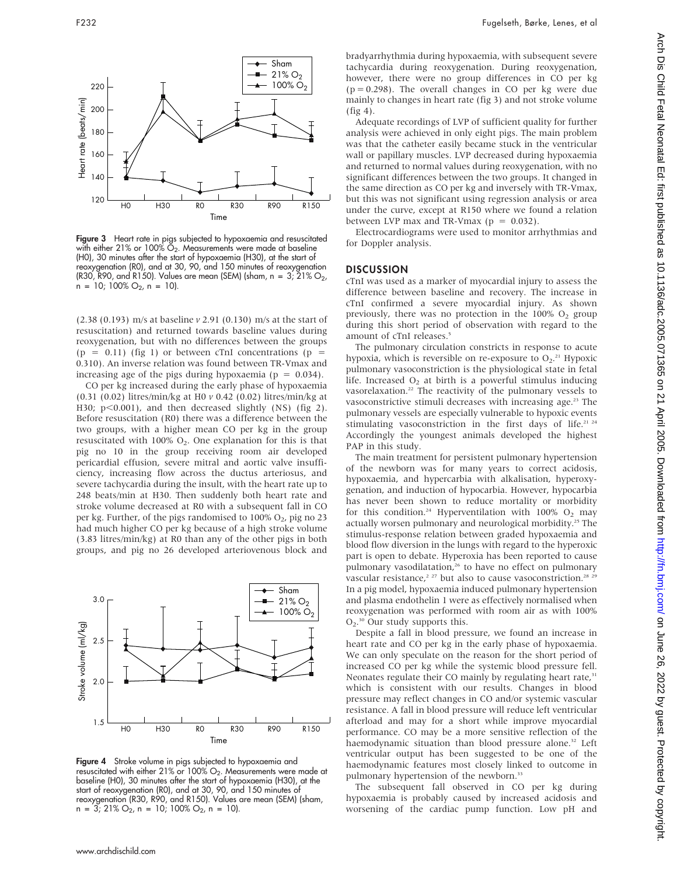

Figure 3 Heart rate in pigs subjected to hypoxaemia and resuscitated with either 21% or 100%  $\check{O}_2$ . Measurements were made at baseline (H0), 30 minutes after the start of hypoxaemia (H30), at the start of reoxygenation (R0), and at 30, 90, and 150 minutes of reoxygenation (R30, R90, and R150). Values are mean (SEM) (sham, n = 3;  $\overline{2}1\%$  O<sub>2</sub>,  $n = 10$ ; 100% O<sub>2</sub>,  $n = 10$ ).

(2.38 (0.193) m/s at baseline v 2.91 (0.130) m/s at the start of resuscitation) and returned towards baseline values during reoxygenation, but with no differences between the groups  $(p = 0.11)$  (fig 1) or between cTnI concentrations  $(p = 1)$ 0.310). An inverse relation was found between TR-Vmax and increasing age of the pigs during hypoxaemia ( $p = 0.034$ ).

CO per kg increased during the early phase of hypoxaemia (0.31 (0.02) litres/min/kg at H0 v 0.42 (0.02) litres/min/kg at H30;  $p<0.001$ ), and then decreased slightly (NS) (fig 2). Before resuscitation (R0) there was a difference between the two groups, with a higher mean CO per kg in the group resuscitated with  $100\%$  O<sub>2</sub>. One explanation for this is that pig no 10 in the group receiving room air developed pericardial effusion, severe mitral and aortic valve insufficiency, increasing flow across the ductus arteriosus, and severe tachycardia during the insult, with the heart rate up to 248 beats/min at H30. Then suddenly both heart rate and stroke volume decreased at R0 with a subsequent fall in CO per kg. Further, of the pigs randomised to  $100\%$  O<sub>2</sub>, pig no 23 had much higher CO per kg because of a high stroke volume (3.83 litres/min/kg) at R0 than any of the other pigs in both groups, and pig no 26 developed arteriovenous block and



Figure 4 Stroke volume in pigs subjected to hypoxaemia and resuscitated with either 21% or 100% O<sub>2</sub>. Measurements were made at baseline (H0), 30 minutes after the start of hypoxaemia (H30), at the start of reoxygenation (R0), and at 30, 90, and 150 minutes of reoxygenation (R30, R90, and R150). Values are mean (SEM) (sham,  $n = 3$ ; 21% O<sub>2</sub>,  $n = 10$ ; 100% O<sub>2</sub>,  $n = 10$ ).

bradyarrhythmia during hypoxaemia, with subsequent severe tachycardia during reoxygenation. During reoxygenation, however, there were no group differences in CO per kg  $(p = 0.298)$ . The overall changes in CO per kg were due mainly to changes in heart rate (fig 3) and not stroke volume (fig 4).

Adequate recordings of LVP of sufficient quality for further analysis were achieved in only eight pigs. The main problem was that the catheter easily became stuck in the ventricular wall or papillary muscles. LVP decreased during hypoxaemia and returned to normal values during reoxygenation, with no significant differences between the two groups. It changed in the same direction as CO per kg and inversely with TR-Vmax, but this was not significant using regression analysis or area under the curve, except at R150 where we found a relation between LVP max and TR-Vmax ( $p = 0.032$ ).

Electrocardiograms were used to monitor arrhythmias and for Doppler analysis.

#### **DISCUSSION**

cTnI was used as a marker of myocardial injury to assess the difference between baseline and recovery. The increase in cTnI confirmed a severe myocardial injury. As shown previously, there was no protection in the  $100\%$  O<sub>2</sub> group during this short period of observation with regard to the amount of cTnI releases.<sup>5</sup>

The pulmonary circulation constricts in response to acute hypoxia, which is reversible on re-exposure to  $O_2$ <sup>21</sup> Hypoxic pulmonary vasoconstriction is the physiological state in fetal life. Increased  $O<sub>2</sub>$  at birth is a powerful stimulus inducing vasorelaxation.<sup>22</sup> The reactivity of the pulmonary vessels to vasoconstrictive stimuli decreases with increasing age.<sup>23</sup> The pulmonary vessels are especially vulnerable to hypoxic events stimulating vasoconstriction in the first days of life.<sup>21 24</sup> Accordingly the youngest animals developed the highest PAP in this study.

The main treatment for persistent pulmonary hypertension of the newborn was for many years to correct acidosis, hypoxaemia, and hypercarbia with alkalisation, hyperoxygenation, and induction of hypocarbia. However, hypocarbia has never been shown to reduce mortality or morbidity for this condition.<sup>24</sup> Hyperventilation with  $100\%$  O<sub>2</sub> may actually worsen pulmonary and neurological morbidity.<sup>25</sup> The stimulus-response relation between graded hypoxaemia and blood flow diversion in the lungs with regard to the hyperoxic part is open to debate. Hyperoxia has been reported to cause pulmonary vasodilatation,<sup>26</sup> to have no effect on pulmonary vascular resistance,<sup>2 27</sup> but also to cause vasoconstriction.<sup>28 2</sup> In a pig model, hypoxaemia induced pulmonary hypertension and plasma endothelin 1 were as effectively normalised when reoxygenation was performed with room air as with 100%  $O_2$ .<sup>30</sup> Our study supports this.

Despite a fall in blood pressure, we found an increase in heart rate and CO per kg in the early phase of hypoxaemia. We can only speculate on the reason for the short period of increased CO per kg while the systemic blood pressure fell. Neonates regulate their CO mainly by regulating heart rate,<sup>31</sup> which is consistent with our results. Changes in blood pressure may reflect changes in CO and/or systemic vascular resistance. A fall in blood pressure will reduce left ventricular afterload and may for a short while improve myocardial performance. CO may be a more sensitive reflection of the haemodynamic situation than blood pressure alone.<sup>32</sup> Left ventricular output has been suggested to be one of the haemodynamic features most closely linked to outcome in pulmonary hypertension of the newborn.<sup>33</sup>

The subsequent fall observed in CO per kg during hypoxaemia is probably caused by increased acidosis and worsening of the cardiac pump function. Low pH and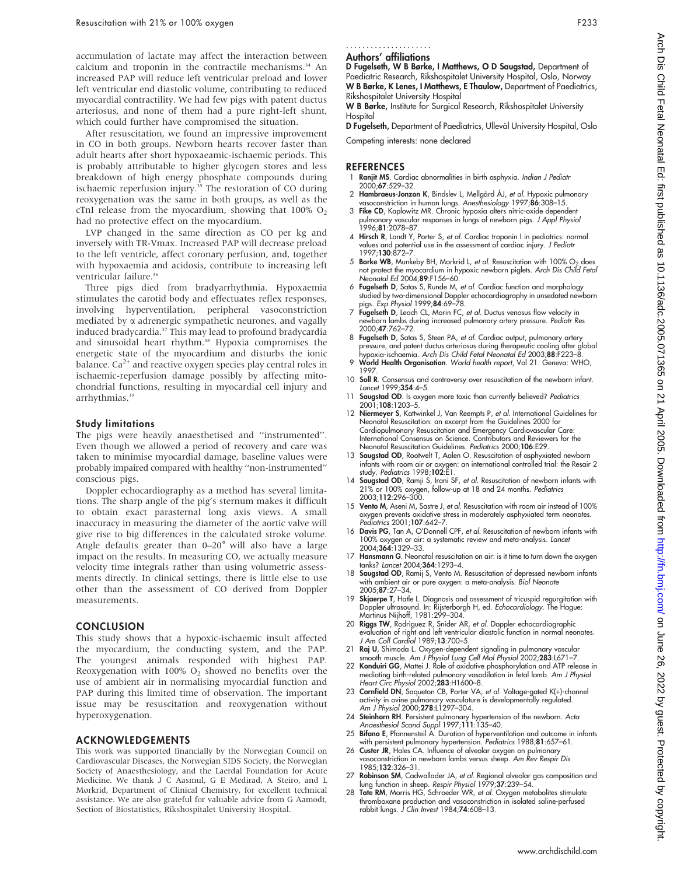accumulation of lactate may affect the interaction between calcium and troponin in the contractile mechanisms.<sup>34</sup> An increased PAP will reduce left ventricular preload and lower left ventricular end diastolic volume, contributing to reduced myocardial contractility. We had few pigs with patent ductus arteriosus, and none of them had a pure right-left shunt, which could further have compromised the situation.

After resuscitation, we found an impressive improvement in CO in both groups. Newborn hearts recover faster than adult hearts after short hypoxaeamic-ischaemic periods. This is probably attributable to higher glycogen stores and less breakdown of high energy phosphate compounds during ischaemic reperfusion injury.<sup>35</sup> The restoration of CO during reoxygenation was the same in both groups, as well as the cTnI release from the myocardium, showing that  $100\%$  O<sub>2</sub> had no protective effect on the myocardium.

LVP changed in the same direction as CO per kg and inversely with TR-Vmax. Increased PAP will decrease preload to the left ventricle, affect coronary perfusion, and, together with hypoxaemia and acidosis, contribute to increasing left ventricular failure.<sup>36</sup>

Three pigs died from bradyarrhythmia. Hypoxaemia stimulates the carotid body and effectuates reflex responses, involving hyperventilation, peripheral vasoconstriction mediated by a adrenergic sympathetic neurones, and vagally induced bradycardia.<sup>37</sup> This may lead to profound bradycardia and sinusoidal heart rhythm.<sup>38</sup> Hypoxia compromises the energetic state of the myocardium and disturbs the ionic balance.  $Ca^{2+}$  and reactive oxygen species play central roles in ischaemic-reperfusion damage possibly by affecting mitochondrial functions, resulting in myocardial cell injury and arrhythmias.<sup>39</sup>

#### Study limitations

The pigs were heavily anaesthetised and ''instrumented''. Even though we allowed a period of recovery and care was taken to minimise myocardial damage, baseline values were probably impaired compared with healthy ''non-instrumented'' conscious pigs.

Doppler echocardiography as a method has several limitations. The sharp angle of the pig's sternum makes it difficult to obtain exact parasternal long axis views. A small inaccuracy in measuring the diameter of the aortic valve will give rise to big differences in the calculated stroke volume. Angle defaults greater than  $0-20^\circ$  will also have a large impact on the results. In measuring CO, we actually measure velocity time integrals rather than using volumetric assessments directly. In clinical settings, there is little else to use other than the assessment of CO derived from Doppler measurements.

#### CONCLUSION

This study shows that a hypoxic-ischaemic insult affected the myocardium, the conducting system, and the PAP. The youngest animals responded with highest PAP. Reoxygenation with  $100\%$  O<sub>2</sub> showed no benefits over the use of ambient air in normalising myocardial function and PAP during this limited time of observation. The important issue may be resuscitation and reoxygenation without hyperoxygenation.

#### ACKNOWLEDGEMENTS

This work was supported financially by the Norwegian Council on Cardiovascular Diseases, the Norwegian SIDS Society, the Norwegian Society of Anaesthesiology, and the Laerdal Foundation for Acute Medicine. We thank J C Aasmul, G E Medirad, A Steiro, and L Mørkrid, Department of Clinical Chemistry, for excellent technical assistance. We are also grateful for valuable advice from G Aamodt, Section of Biostatistics, Rikshospitalet University Hospital.

#### Authors' affiliations .....................

D Fugelseth, W B Børke, I Matthews, O D Saugstad, Department of Paediatric Research, Rikshospitalet University Hospital, Oslo, Norway W B Børke, K Lenes, I Matthews, E Thaulow, Department of Paediatrics,

Rikshospitalet University Hospital W B Børke, Institute for Surgical Research, Rikshospitalet University **Hospital** 

D Fugelseth, Department of Paediatrics, Ullevål University Hospital, Oslo Competing interests: none declared

#### **REFERENCES**

- Ranjit MS. Cardiac abnormalities in birth asphyxia. Indian J Pediatr 2000;67:529–32.
- 2 Hambraeus-Jonzon K, Bindslev L, Mellgård ÅJ, et al. Hypoxic pulmonary
- vasoconstriction in human lungs. Anesthesiology 1997;**86**:308–15.<br>3 **Fike CD**, Kaplowitz MR. Chronic hypoxia alters nitric-oxide dependent<br>pulmonary vascular responses in lungs of newborn pigs. J Appl Physiol<br>1996;**81**:207
- 4 Hirsch R, Landt Y, Porter S, et al. Cardiac troponin I in pediatrics: normal values and potential use in the assessment of cardiac injury. J Pediatr 1997;130:872–7.
- 5 Borke WB, Munkeby BH, Morkrid L, et al. Resuscitation with 100% O<sub>2</sub> does not protect the myocardium in hypoxic newborn piglets. Arch Dis Child Fetal Neonatal Ed 2004;89:F156–60.
- 6 Fugelseth D, Satas S, Runde M, et al. Cardiac function and morphology studied by two-dimensional Doppler echocardiography in unsedated newborn pigs. Exp Physiol 1999; 84:69-78.
- 7 Fugelseth D, Leach CL, Morin FC, et al. Ductus venosus flow velocity in newborn lambs during increased pulmonary artery pressure. Pediatr Res 2000;47:762–72.
- 8 Fugelseth D, Satas S, Steen PA, et al. Cardiac output, pulmonary artery pressure, and patent ductus arteriosus during therapeutic cooling after global<br>hypoxia-ischaemia. *Arch Dis Child Fetal Neonatal Ed* 2003;**88**:F223–8.
- 9 World Health Organisation. World health report, Vol 21. Geneva: WHO, 1997.
- 10 Soll R. Consensus and controversy over resuscitation of the newborn infant. Lancet 1999;354:4–5.
- 11 Saugstad OD. Is oxygen more toxic than currently believed? Pediatrics 2001;108:1203–5.
- 12 Niermeyer S, Kattwinkel J, Van Reempts P, et al. International Guidelines for Neonatal Resuscitation: an excerpt from the Guidelines 2000 for Cardiopulmonary Resuscitation and Emergency Cardiovascular Care: International Consensus on Science. Contributors and Reviewers for the<br>Neonatal Resuscitation Guidelines. *Pediatrics* 2000;1**06**:E29.
- 13 Saugstad OD, Rootwelt T, Aalen O. Resuscitation of asphyxiated newborn infants with room air or oxygen: an international controlled trial: the Resair 2 study. Pediatrics 1998;102:E1.
- 14 Saugstad OD, Ramji S, Irani SF, et al. Resuscitation of newborn infants with<br>21% or 100% oxygen, follow-up at 18 and 24 months. *Pediatrics* or 100% oxygen, follow-up at 18 and 24 months. Pediatrics 2003;112:296–300.
- 15 Vento M, Aseni M, Sastre J, et al. Resuscitation with room air instead of 100% oxygen prevents oxidative stress in moderately asphyxiated term neonates. Pediatrics 2001;107:642–7.
- 16 Davis PG, Tan A, O'Donnell CPF, et al. Resuscitation of newborn infants with 100% oxygen or air: a systematic review and meta-analysis. Lancet 2004;364:1329–33.
- 17 Hansmann G. Neonatal resuscitation on air: is it time to turn down the oxygen tanks? Lancet 2004;364:1293–4.
- 18 Saugstad OD, Ramij S, Vento M. Resuscitation of depressed newborn infants with ambient air or pure oxygen: a meta-analysis. Biol Neonate 2005;87:27–34.
- 19 Skjaerpe T, Hatle L. Diagnosis and assessment of tricuspid regurgitation with Doppler ultrasound. In: Rijsterborgh H, ed. Echocardiology. The Hague: Martinus Nijhoff, 1981:299–304.
- 20 Riggs TW, Rodriguez R, Snider AR, et al. Doppler echocardiographic evaluation of right and left ventricular diastolic function in normal neonates. J Am Coll Cardiol 1989;13:700–5.
- 
- 21 **Raj U**, Shimoda L. Oxygen-dependent signaling in pulmonary vascular<br>smooth muscle. Am J Physiol Lung Cell Mol Physiol 2002;**283**:L671–7.<br>**22 Knoduiri GG**, Mattei J. Role of oxidative phosphorylation and ATP release in<br> Heart Circ Physiol 2002; 283: H1600-8.
- 23 Cornfield DN, Saqueton CB, Porter VA, et al. Voltage-gated K(+)-channel activity in ovine pulmonary vasculature is developmentally regulated. Am J Physiol 2000;278:L1297–304.
- 24 Steinhorn RH. Persistent pulmonary hypertension of the newborn. Acta Anaesthesiol Scand Suppl 1997;111:135–40.
- 25 Bifano E, Pfannensteil A. Duration of hyperventilation and outcome in infants with persistent pulmonary hypertension. *Pediatrics* 1988;**81**:657–61.<br>26 **Custer JR**, Hales CA. Influence of alveolar oxygen on pulmonary
- vasoconstriction in newborn lambs versus sheep. Am Rev Respir Dis 1985;132:326–31.
- 27 **Robinson SM**, Cadwallader JA, *et al.* Regional alveolar gas composition and<br>lung function in sheep. *Respir Physiol* 1979;**37**:239–54.<br>28 **Tate RM**, Morris HG, Schroeder WR, *et al.* Oxygen metabolites stimulate
- thromboxane production and vasoconstriction in isolated saline-perfused<br>rabbit lungs. *J Clin Invest* 1984;**74**:608–13.